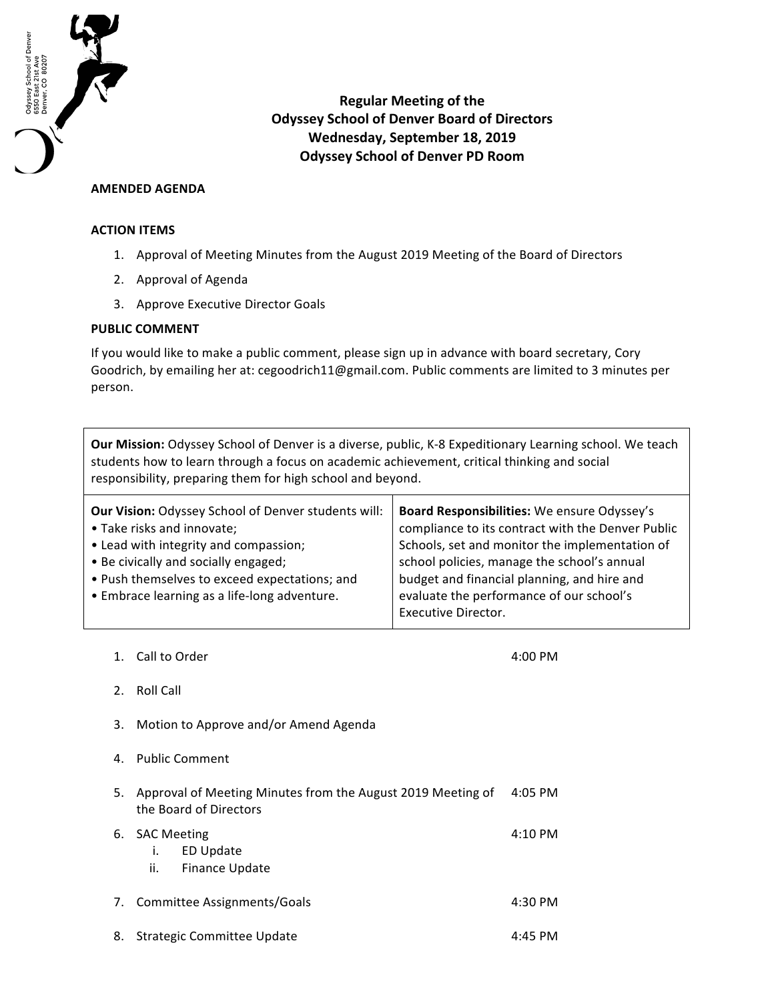

**Regular Meeting of the Odyssey School of Denver Board of Directors** Wednesday, September 18, 2019 **Odyssey School of Denver PD Room**

## **AMENDED AGENDA**

## **ACTION ITEMS**

- 1. Approval of Meeting Minutes from the August 2019 Meeting of the Board of Directors
- 2. Approval of Agenda
- 3. Approve Executive Director Goals

## **PUBLIC COMMENT**

If you would like to make a public comment, please sign up in advance with board secretary, Cory Goodrich, by emailing her at: cegoodrich11@gmail.com. Public comments are limited to 3 minutes per person.

Our Mission: Odyssey School of Denver is a diverse, public, K-8 Expeditionary Learning school. We teach students how to learn through a focus on academic achievement, critical thinking and social responsibility, preparing them for high school and beyond.

| <b>Our Vision: Odyssey School of Denver students will:</b><br>• Take risks and innovate;<br>• Lead with integrity and compassion; | Board Responsibilities: We ensure Odyssey's<br>compliance to its contract with the Denver Public<br>Schools, set and monitor the implementation of |
|-----------------------------------------------------------------------------------------------------------------------------------|----------------------------------------------------------------------------------------------------------------------------------------------------|
| • Be civically and socially engaged;                                                                                              | school policies, manage the school's annual                                                                                                        |
| • Push themselves to exceed expectations; and                                                                                     | budget and financial planning, and hire and                                                                                                        |
| • Embrace learning as a life-long adventure.                                                                                      | evaluate the performance of our school's                                                                                                           |
|                                                                                                                                   | Executive Director.                                                                                                                                |

1. Call to Order 4:00 PM

- 2. Roll Call
- 3. Motion to Approve and/or Amend Agenda
- 4. Public Comment

| 5. | Approval of Meeting Minutes from the August 2019 Meeting of<br>the Board of Directors | 4:05 PM             |
|----|---------------------------------------------------------------------------------------|---------------------|
|    | 6. SAC Meeting<br>ED Update<br>i.<br><b>Finance Update</b><br>ii.                     | $4:10 \, \text{PM}$ |
|    | 7. Committee Assignments/Goals                                                        | $4:30 \text{ PM}$   |

8. Strategic Committee Update 4:45 PM